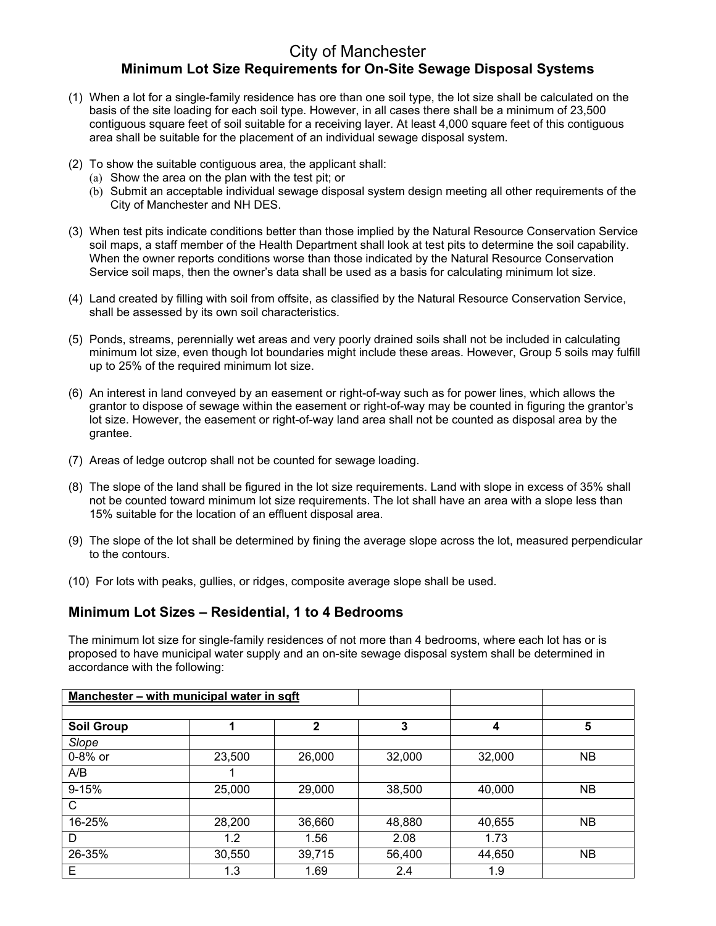## City of Manchester **Minimum Lot Size Requirements for On-Site Sewage Disposal Systems**

- (1) When a lot for a single-family residence has ore than one soil type, the lot size shall be calculated on the basis of the site loading for each soil type. However, in all cases there shall be a minimum of 23,500 contiguous square feet of soil suitable for a receiving layer. At least 4,000 square feet of this contiguous area shall be suitable for the placement of an individual sewage disposal system.
- (2) To show the suitable contiguous area, the applicant shall:
	- (a) Show the area on the plan with the test pit; or
	- (b) Submit an acceptable individual sewage disposal system design meeting all other requirements of the City of Manchester and NH DES.
- (3) When test pits indicate conditions better than those implied by the Natural Resource Conservation Service soil maps, a staff member of the Health Department shall look at test pits to determine the soil capability. When the owner reports conditions worse than those indicated by the Natural Resource Conservation Service soil maps, then the owner's data shall be used as a basis for calculating minimum lot size.
- (4) Land created by filling with soil from offsite, as classified by the Natural Resource Conservation Service, shall be assessed by its own soil characteristics.
- (5) Ponds, streams, perennially wet areas and very poorly drained soils shall not be included in calculating minimum lot size, even though lot boundaries might include these areas. However, Group 5 soils may fulfill up to 25% of the required minimum lot size.
- (6) An interest in land conveyed by an easement or right-of-way such as for power lines, which allows the grantor to dispose of sewage within the easement or right-of-way may be counted in figuring the grantor's lot size. However, the easement or right-of-way land area shall not be counted as disposal area by the grantee.
- (7) Areas of ledge outcrop shall not be counted for sewage loading.
- (8) The slope of the land shall be figured in the lot size requirements. Land with slope in excess of 35% shall not be counted toward minimum lot size requirements. The lot shall have an area with a slope less than 15% suitable for the location of an effluent disposal area.
- (9) The slope of the lot shall be determined by fining the average slope across the lot, measured perpendicular to the contours.
- (10) For lots with peaks, gullies, or ridges, composite average slope shall be used.

## **Minimum Lot Sizes – Residential, 1 to 4 Bedrooms**

The minimum lot size for single-family residences of not more than 4 bedrooms, where each lot has or is proposed to have municipal water supply and an on-site sewage disposal system shall be determined in accordance with the following:

| Manchester - with municipal water in sqft |        |              |        |        |           |  |  |
|-------------------------------------------|--------|--------------|--------|--------|-----------|--|--|
|                                           |        |              |        |        |           |  |  |
| <b>Soil Group</b>                         |        | $\mathbf{2}$ | 3      | 4      | 5         |  |  |
| Slope                                     |        |              |        |        |           |  |  |
| 0-8% or                                   | 23,500 | 26,000       | 32,000 | 32,000 | <b>NB</b> |  |  |
| A/B                                       |        |              |        |        |           |  |  |
| $9 - 15%$                                 | 25,000 | 29,000       | 38,500 | 40,000 | NΒ        |  |  |
| C                                         |        |              |        |        |           |  |  |
| 16-25%                                    | 28,200 | 36,660       | 48,880 | 40,655 | NΒ        |  |  |
| D                                         | 1.2    | 1.56         | 2.08   | 1.73   |           |  |  |
| 26-35%                                    | 30,550 | 39,715       | 56,400 | 44,650 | <b>NB</b> |  |  |
| Е                                         | 1.3    | 1.69         | 2.4    | 1.9    |           |  |  |